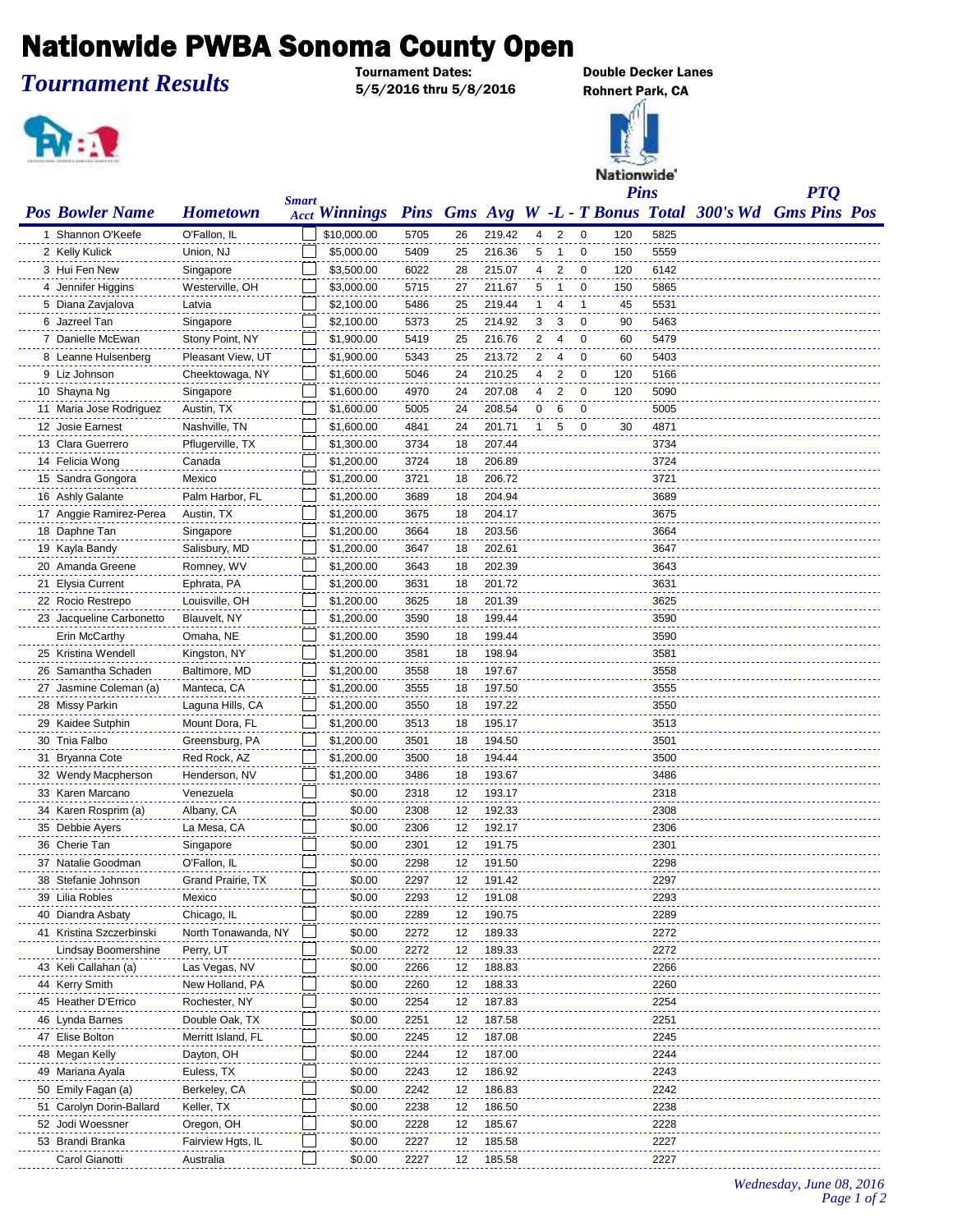## **Nationwide PWBA Sonoma County Open**

*Tournament Results*

5/5/2016 thru 5/8/2016 Rohnert Park, CA



**Double Decker Lanes** 



*PTQ*

| <b>Pos Bowler Name</b>   | <b>Hometown</b>     | <b>Smart</b> | <b>Acct Winnings</b> |      |    |        |              |                |                |     |      | Pins Gms Avg W -L - T Bonus Total 300's Wd Gms Pins Pos |  |
|--------------------------|---------------------|--------------|----------------------|------|----|--------|--------------|----------------|----------------|-----|------|---------------------------------------------------------|--|
| 1 Shannon O'Keefe        | O'Fallon, IL        |              | \$10,000.00          | 5705 | 26 | 219.42 | 4            | 2              | $\mathbf 0$    | 120 | 5825 |                                                         |  |
| 2 Kelly Kulick           | Union, NJ           |              | \$5,000.00           | 5409 | 25 | 216.36 | 5            | $\overline{1}$ | $\mathbf 0$    | 150 | 5559 |                                                         |  |
| 3 Hui Fen New            | Singapore           |              | \$3,500.00           | 6022 | 28 | 215.07 | 4            | 2              | 0              | 120 | 6142 |                                                         |  |
| 4 Jennifer Higgins       | Westerville, OH     |              | \$3,000.00           | 5715 | 27 | 211.67 | 5            | $\mathbf{1}$   | $\mathbf 0$    | 150 | 5865 |                                                         |  |
| 5 Diana Zavjalova        | Latvia              |              | \$2,100.00           | 5486 | 25 | 219.44 | 1            | 4              | $\overline{1}$ | 45  | 5531 |                                                         |  |
| 6 Jazreel Tan            | Singapore           |              | \$2,100.00           | 5373 | 25 | 214.92 | 3            | 3              | 0              | 90  | 5463 |                                                         |  |
| 7 Danielle McEwan        | Stony Point, NY     |              | \$1,900.00           | 5419 | 25 | 216.76 | 2            | 4              | 0              | 60  | 5479 |                                                         |  |
| 8 Leanne Hulsenberg      | Pleasant View, UT   |              | \$1,900.00           | 5343 | 25 | 213.72 | 2            | 4              | 0              | 60  | 5403 |                                                         |  |
| 9 Liz Johnson            | Cheektowaga, NY     |              | \$1,600.00           | 5046 | 24 | 210.25 | 4            | 2              | 0              | 120 | 5166 |                                                         |  |
| 10 Shayna Ng             | Singapore           |              | \$1,600.00           | 4970 | 24 | 207.08 | 4            | $\overline{2}$ | $\mathbf 0$    | 120 | 5090 |                                                         |  |
| 11 Maria Jose Rodriguez  | Austin, TX          |              | \$1,600.00           | 5005 | 24 | 208.54 | 0            | 6              | $\mathbf 0$    |     | 5005 |                                                         |  |
| 12 Josie Earnest         | Nashville, TN       |              | \$1,600.00           | 4841 | 24 | 201.71 | $\mathbf{1}$ | 5              | 0              | 30  | 4871 |                                                         |  |
| 13 Clara Guerrero        | Pflugerville, TX    |              | \$1,300.00           | 3734 | 18 | 207.44 |              |                |                |     | 3734 |                                                         |  |
| 14 Felicia Wong          | Canada              |              | \$1,200.00           | 3724 | 18 | 206.89 |              |                |                |     | 3724 |                                                         |  |
| 15 Sandra Gongora        | Mexico              |              | \$1,200.00           | 3721 | 18 | 206.72 |              |                |                |     | 3721 |                                                         |  |
| 16 Ashly Galante         | Palm Harbor, FL     |              | \$1,200.00           | 3689 | 18 | 204.94 |              |                |                |     | 3689 |                                                         |  |
| 17 Anggie Ramirez-Perea  | Austin, TX          |              | \$1,200.00           | 3675 | 18 | 204.17 |              |                |                |     | 3675 |                                                         |  |
| 18 Daphne Tan            | Singapore           |              | \$1,200.00           | 3664 | 18 | 203.56 |              |                |                |     | 3664 |                                                         |  |
| 19 Kayla Bandy           | Salisbury, MD       |              | \$1,200.00           | 3647 | 18 | 202.61 |              |                |                |     | 3647 |                                                         |  |
| 20 Amanda Greene         | Romney, WV          |              | \$1,200.00           | 3643 | 18 | 202.39 |              |                |                |     | 3643 |                                                         |  |
| 21 Elysia Current        | Ephrata, PA         |              | \$1,200.00           | 3631 | 18 | 201.72 |              |                |                |     | 3631 |                                                         |  |
| 22 Rocio Restrepo        | Louisville, OH      |              | \$1,200.00           | 3625 | 18 | 201.39 |              |                |                |     | 3625 |                                                         |  |
| 23 Jacqueline Carbonetto | Blauvelt, NY        |              | \$1,200.00           | 3590 | 18 | 199.44 |              |                |                |     | 3590 |                                                         |  |
| Erin McCarthy            | Omaha, NE           |              | \$1,200.00           | 3590 | 18 | 199.44 |              |                |                |     | 3590 |                                                         |  |
| 25 Kristina Wendell      | Kingston, NY        |              | \$1,200.00           | 3581 | 18 | 198.94 |              |                |                |     | 3581 |                                                         |  |
| 26 Samantha Schaden      | Baltimore, MD       |              | \$1,200.00           | 3558 | 18 | 197.67 |              |                |                |     | 3558 |                                                         |  |
| 27 Jasmine Coleman (a)   | Manteca, CA         |              | \$1,200.00           | 3555 | 18 | 197.50 |              |                |                |     | 3555 |                                                         |  |
| 28 Missy Parkin          | Laguna Hills, CA    |              | \$1,200.00           | 3550 | 18 | 197.22 |              |                |                |     | 3550 |                                                         |  |
| 29 Kaidee Sutphin        | Mount Dora, FL      |              | \$1,200.00           | 3513 | 18 | 195.17 |              |                |                |     | 3513 |                                                         |  |
| 30 Tnia Falbo            | Greensburg, PA      |              | \$1,200.00           | 3501 | 18 | 194.50 |              |                |                |     | 3501 |                                                         |  |
| 31 Bryanna Cote          | Red Rock, AZ        |              | \$1,200.00           | 3500 | 18 | 194.44 |              |                |                |     | 3500 |                                                         |  |
| 32 Wendy Macpherson      | Henderson, NV       |              | \$1,200.00           | 3486 | 18 | 193.67 |              |                |                |     | 3486 |                                                         |  |
| 33 Karen Marcano         | Venezuela           |              | \$0.00               | 2318 | 12 | 193.17 |              |                |                |     | 2318 |                                                         |  |
| 34 Karen Rosprim (a)     | Albany, CA          |              | \$0.00               | 2308 | 12 | 192.33 |              |                |                |     | 2308 |                                                         |  |
| 35 Debbie Ayers          | La Mesa, CA         |              | \$0.00               | 2306 | 12 | 192.17 |              |                |                |     | 2306 |                                                         |  |
| 36 Cherie Tan            | Singapore           |              | \$0.00               | 2301 | 12 | 191.75 |              |                |                |     | 2301 |                                                         |  |
| 37 Natalie Goodman       | O'Fallon, IL        |              | \$0.00               | 2298 | 12 | 191.50 |              |                |                |     | 2298 |                                                         |  |
| 38 Stefanie Johnson      | Grand Prairie, TX   |              | \$0.00               | 2297 | 12 | 191.42 |              |                |                |     | 2297 |                                                         |  |
| 39 Lilia Robles          | Mexico              |              | \$0.00               | 2293 | 12 | 191.08 |              |                |                |     | 2293 |                                                         |  |
| 40 Diandra Asbaty        | Chicago, IL         |              | \$0.00               | 2289 | 12 | 190.75 |              |                |                |     | 2289 |                                                         |  |
| 41 Kristina Szczerbinski | North Tonawanda, NY |              | \$0.00               | 2272 | 12 | 189.33 |              |                |                |     | 2272 |                                                         |  |
| Lindsay Boomershine      | Perry, UT           |              | \$0.00               | 2272 | 12 | 189.33 |              |                |                |     | 2272 |                                                         |  |
| 43 Keli Callahan (a)     | Las Vegas, NV       |              | \$0.00               | 2266 | 12 | 188.83 |              |                |                |     | 2266 |                                                         |  |
| 44 Kerry Smith           | New Holland, PA     |              | \$0.00               | 2260 | 12 | 188.33 |              |                |                |     | 2260 |                                                         |  |
| 45 Heather D'Errico      | Rochester, NY       |              | \$0.00               | 2254 | 12 | 187.83 |              |                |                |     | 2254 |                                                         |  |
| 46 Lynda Barnes          | Double Oak, TX      |              | \$0.00               | 2251 | 12 | 187.58 |              |                |                |     | 2251 |                                                         |  |
| 47 Elise Bolton          | Merritt Island, FL  |              | \$0.00               | 2245 | 12 | 187.08 |              |                |                |     | 2245 |                                                         |  |
| 48 Megan Kelly           | Dayton, OH          |              | \$0.00               | 2244 | 12 | 187.00 |              |                |                |     | 2244 |                                                         |  |
| 49 Mariana Ayala         | Euless, TX          |              | \$0.00               | 2243 | 12 | 186.92 |              |                |                |     | 2243 |                                                         |  |
| 50 Emily Fagan (a)       | Berkeley, CA        |              | \$0.00               | 2242 | 12 | 186.83 |              |                |                |     | 2242 |                                                         |  |
| 51 Carolyn Dorin-Ballard | Keller, TX          |              | \$0.00               | 2238 | 12 | 186.50 |              |                |                |     | 2238 |                                                         |  |
| 52 Jodi Woessner         | Oregon, OH          |              | \$0.00               | 2228 | 12 | 185.67 |              |                |                |     | 2228 |                                                         |  |
| 53 Brandi Branka         | Fairview Hgts, IL   |              | \$0.00               | 2227 | 12 | 185.58 |              |                |                |     | 2227 |                                                         |  |
| Carol Gianotti           | Australia           |              | \$0.00               | 2227 | 12 | 185.58 |              |                |                |     | 2227 |                                                         |  |